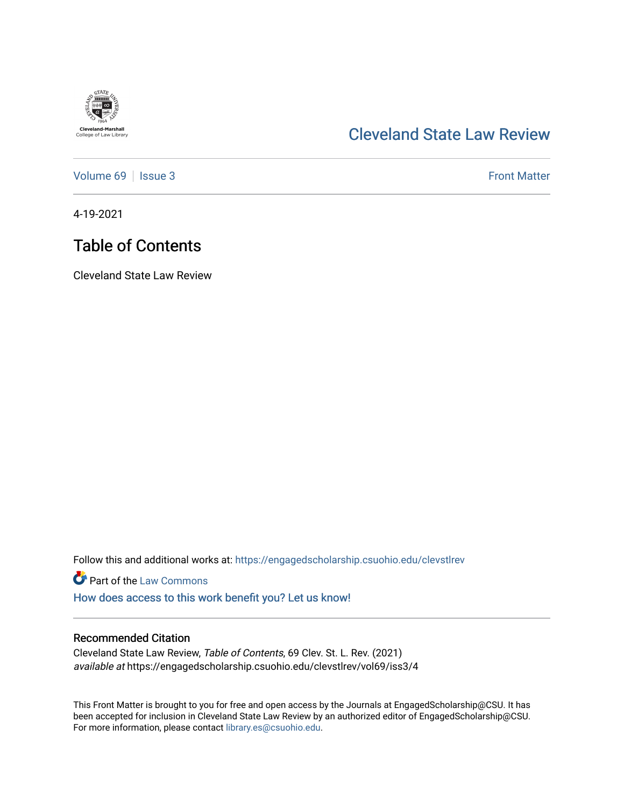

### [Cleveland State Law Review](https://engagedscholarship.csuohio.edu/clevstlrev)

[Volume 69](https://engagedscholarship.csuohio.edu/clevstlrev/vol69) | [Issue 3](https://engagedscholarship.csuohio.edu/clevstlrev/vol69/iss3) Front Matter

4-19-2021

## Table of Contents

Cleveland State Law Review

Follow this and additional works at: [https://engagedscholarship.csuohio.edu/clevstlrev](https://engagedscholarship.csuohio.edu/clevstlrev?utm_source=engagedscholarship.csuohio.edu%2Fclevstlrev%2Fvol69%2Fiss3%2F4&utm_medium=PDF&utm_campaign=PDFCoverPages)

**Part of the [Law Commons](http://network.bepress.com/hgg/discipline/578?utm_source=engagedscholarship.csuohio.edu%2Fclevstlrev%2Fvol69%2Fiss3%2F4&utm_medium=PDF&utm_campaign=PDFCoverPages)** 

[How does access to this work benefit you? Let us know!](http://library.csuohio.edu/engaged/)

#### Recommended Citation

Cleveland State Law Review, Table of Contents, 69 Clev. St. L. Rev. (2021) available at https://engagedscholarship.csuohio.edu/clevstlrev/vol69/iss3/4

This Front Matter is brought to you for free and open access by the Journals at EngagedScholarship@CSU. It has been accepted for inclusion in Cleveland State Law Review by an authorized editor of EngagedScholarship@CSU. For more information, please contact [library.es@csuohio.edu.](mailto:library.es@csuohio.edu)